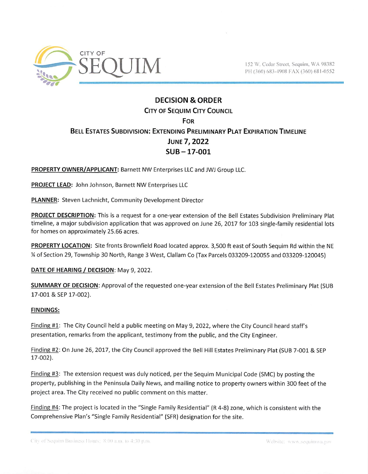

152 W. Cedar Street, Sequim, WA 98382 PH (360) 683-4908 FAX (360) 681-0552

## **DECISION & ORDER CITY OF SEQUIM CITY COUNCIL** For Bell Estates Subdivision: Extending Preliminary Plat Expiration Timeline June?, 2022 SUB-17-001

PROPERTY OWNER/APPLICANT: Barnett NW Enterprises LLC and JWJ Group LLC.

PROJECT LEAD: John Johnson, Barnett NW Enterprises LLC

PLANNER: Steven Lachnicht, Community Development Director

PROJECT DESCRIPTION: This is a request for a one-year extension of the Bell Estates Subdivision Preliminary Plat timeline, a major subdivision application that was approved on June 26, 2017 for 103 single-family residential lots for homes on approximately 25.66 acres.

PROPERTY LOCATION: Site fronts Brownfield Road located approx. 3,500 ft east of South Sequim Rd within the NE % of Section 29, Township 30 North, Range 3 West, Clallam Co (Tax Parcels 033209-120055 and 033209-120045)

DATE OF HEARING / DECISION: May 9, 2022.

SUMMARY OF DECISION: Approval of the requested one-year extension of the Bell Estates Preliminary Plat (SUB 17-001 & SEP 17-002).

## FINDINGS:

Finding #1: The City Council held a public meeting on May 9, 2022, where the City Council heard staff's presentation, remarks from the applicant, testimony from the public, and the City Engineer.

Finding #2: On June 26, 2017, the City Council approved the Bell Hill Estates Preliminary Plat (SUB 7-001 & SEP 17-002).

Finding #3: The extension request was duly noticed, per the Sequim Municipal Code (SMC) by posting the property, publishing in the Peninsula Daily News, and mailing notice to property owners within 300 feet of the project area. The City received no public comment on this matter.

Finding #4: The project is located in the "Single Family Residential" (R 4-8) zone, which is consistent with the Comprehensive Plan's "Single Family Residential" (SFR) designation for the site.

City of Sequim Business Hours: 8:00 a.m. to 4:30 p.m.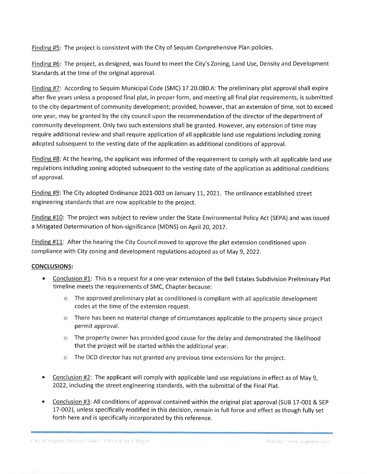Finding #5: The project is consistent with the City of Sequim Comprehensive Plan policies.

Finding #6: The project, as designed, was found to meet the City's Zoning, Land Use, Density and Development Standards at the time of the original approval.

Finding #7: According to Sequim Municipal Code (SMC) 17.20.080.A: The preliminary plat approval shall expire after five years unless a proposed final plat, in proper form, and meeting all final plat requirements, is submitted to the city department of community development; provided, however, that an extension of time, not to exceed one year, may be granted by the city council upon the recommendation of the director of the department of community development. Only two such extensions shall be granted. However, any extension of time may require additional review and shall require application of all applicable land use regulations including zoning adopted subsequent to the vesting date of the application as additional conditions of approval.

Finding #8: At the hearing, the applicant was informed of the requirement to comply with all applicable land use regulations including zoning adopted subsequent to the vesting date of the application as additional conditions of approval.

Finding #9: The City adopted Ordinance 2021-003 on January 11, 2021. The ordinance established street engineering standards that are now applicable to the project.

Finding #10: The project was subject to review under the State Environmental Policy Act (SEPA) and was issued a Mitigated Determination of Non-significance (MDNS) on April 20, 2017.

Finding #11: After the hearing the City Council moved to approve the plat extension conditioned upon compliance with City zoning and development regulations adopted as of May 9, 2022.

## CONCLUSIONS:

- Conclusion #1: This is a request for a one-year extension of the Bell Estates Subdivision Preliminary Plat timeline meets the requirements of SMC, Chapter because:
	- o The approved preliminary plat as conditioned is compliant with all applicable development codes at the time of the extension request,
	- o There has been no material change of circumstances applicable to the property since project permit approval,
	- $\circ$  The property owner has provided good cause for the delay and demonstrated the likelihood that the project will be started within the additional year,
	- o The DCD director has not granted any previous time extensions for the project.
- Conclusion #2: The applicant will comply with applicable land use regulations in effect as of May 9, 2022, including the street engineering standards, with the submittal of the Final Plat.
- Conclusion #3: All conditions of approval contained within the original plat approval (SUB 17-001 & SEP 17-002), unless specifically modified in this decision, remain in full force and effect as though fully set forth here and is specifically incorporated by this reference.